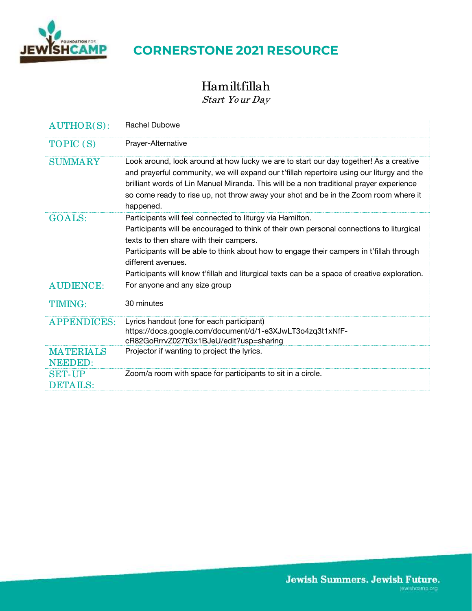

## **CORNERSTONE 2021 RESOURCE**

# Hamiltfillah

Start Yo ur Day

| <b>AUTHOR(S):</b>                  | <b>Rachel Dubowe</b>                                                                                                                                                                                                                                                                                                                                                                                               |
|------------------------------------|--------------------------------------------------------------------------------------------------------------------------------------------------------------------------------------------------------------------------------------------------------------------------------------------------------------------------------------------------------------------------------------------------------------------|
| TOPIC (S)                          | Prayer-Alternative                                                                                                                                                                                                                                                                                                                                                                                                 |
| <b>SUMMARY</b>                     | Look around, look around at how lucky we are to start our day together! As a creative<br>and prayerful community, we will expand our t'fillah repertoire using our liturgy and the<br>brilliant words of Lin Manuel Miranda. This will be a non traditional prayer experience<br>so come ready to rise up, not throw away your shot and be in the Zoom room where it<br>happened.                                  |
| GOALS:                             | Participants will feel connected to liturgy via Hamilton.<br>Participants will be encouraged to think of their own personal connections to liturgical<br>texts to then share with their campers.<br>Participants will be able to think about how to engage their campers in t'fillah through<br>different avenues.<br>Participants will know t'fillah and liturgical texts can be a space of creative exploration. |
| <b>AUDIENCE:</b>                   | For anyone and any size group                                                                                                                                                                                                                                                                                                                                                                                      |
| <b>TIMING:</b>                     | 30 minutes                                                                                                                                                                                                                                                                                                                                                                                                         |
| <b>APPENDICES:</b>                 | Lyrics handout (one for each participant)<br>https://docs.google.com/document/d/1-e3XJwLT3o4zq3t1xNfF-<br>cR82GoRrrvZ027tGx1BJeU/edit?usp=sharing                                                                                                                                                                                                                                                                  |
| <b>MATERIALS</b><br><b>NEEDED:</b> | Projector if wanting to project the lyrics.                                                                                                                                                                                                                                                                                                                                                                        |
| <b>SET-UP</b><br>DETAILS:          | Zoom/a room with space for participants to sit in a circle.                                                                                                                                                                                                                                                                                                                                                        |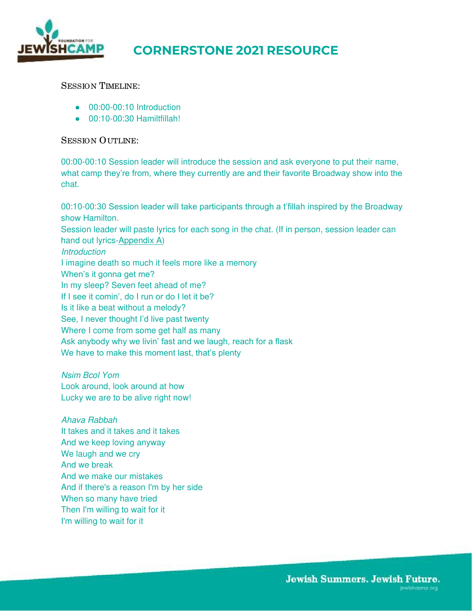

## **CORNERSTONE 2021 RESOURCE**

## SESSION TIMELINE:

- 00:00-00:10 Introduction
- $\bullet$  00:10-00:30 Hamiltfillah!

### SESSION O UTLINE:

00:00-00:10 Session leader will introduce the session and ask everyone to put their name, what camp they're from, where they currently are and their favorite Broadway show into the chat.

00:10-00:30 Session leader will take participants through a t'fillah inspired by the Broadway show Hamilton. Session leader will paste lyrics for each song in the chat. (If in person, session leader can hand out lyrics[-Appendix A\)](https://docs.google.com/document/u/0/d/1-e3XJwLT3o4zq3t1xNfF-cR82GoRrrvZ027tGx1BJeU/edit) **Introduction** I imagine death so much it feels more like a memory When's it gonna get me? In my sleep? Seven feet ahead of me? If I see it comin', do I run or do I let it be? Is it like a beat without a melody? See, I never thought I'd live past twenty Where I come from some get half as many Ask anybody why we livin' fast and we laugh, reach for a flask We have to make this moment last, that's plenty

Nsim Bcol Yom Look around, look around at how Lucky we are to be alive right now!

Ahava Rabbah It takes and it takes and it takes And we keep loving anyway We laugh and we cry And we break And we make our mistakes And if there's a reason I'm by her side When so many have tried Then I'm willing to wait for it I'm willing to wait for it